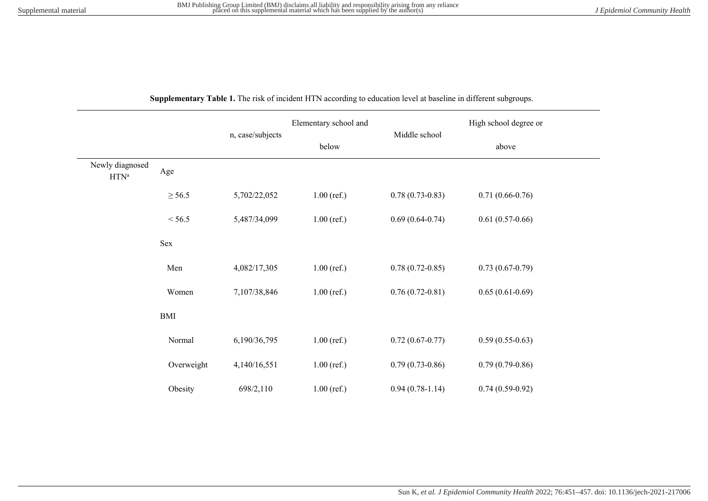| Supplementary Table 1. The risk of incident HTN according to education level at baseline in different subgroups. |  |
|------------------------------------------------------------------------------------------------------------------|--|
|------------------------------------------------------------------------------------------------------------------|--|

|                                |             |                  | Elementary school and |                   | High school degree or |  |
|--------------------------------|-------------|------------------|-----------------------|-------------------|-----------------------|--|
|                                |             | n, case/subjects | below                 | Middle school     | above                 |  |
| Newly diagnosed<br>$\rm HTN^a$ | Age         |                  |                       |                   |                       |  |
|                                | $\geq$ 56.5 | 5,702/22,052     | $1.00$ (ref.)         | $0.78(0.73-0.83)$ | $0.71(0.66-0.76)$     |  |
|                                | < 56.5      | 5,487/34,099     | $1.00$ (ref.)         | $0.69(0.64-0.74)$ | $0.61(0.57-0.66)$     |  |
|                                | Sex         |                  |                       |                   |                       |  |
|                                | Men         | 4,082/17,305     | $1.00$ (ref.)         | $0.78(0.72-0.85)$ | $0.73(0.67-0.79)$     |  |
|                                | Women       | 7,107/38,846     | $1.00$ (ref.)         | $0.76(0.72-0.81)$ | $0.65(0.61-0.69)$     |  |
|                                | BMI         |                  |                       |                   |                       |  |
|                                | Normal      | 6,190/36,795     | $1.00$ (ref.)         | $0.72(0.67-0.77)$ | $0.59(0.55-0.63)$     |  |
|                                | Overweight  | 4,140/16,551     | $1.00$ (ref.)         | $0.79(0.73-0.86)$ | $0.79(0.79-0.86)$     |  |
|                                | Obesity     | 698/2,110        | $1.00$ (ref.)         | $0.94(0.78-1.14)$ | $0.74(0.59-0.92)$     |  |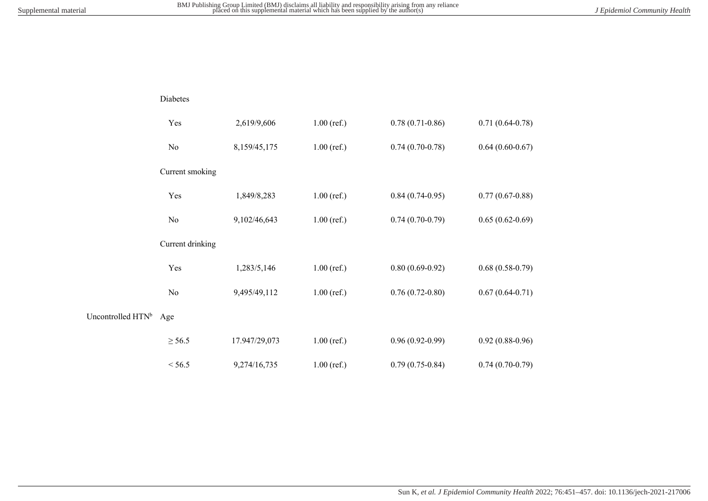Diabetes

|                   | Yes              | 2,619/9,606   | $1.00$ (ref.) | $0.78(0.71-0.86)$ | $0.71(0.64 - 0.78)$ |
|-------------------|------------------|---------------|---------------|-------------------|---------------------|
|                   | No               | 8,159/45,175  | $1.00$ (ref.) | $0.74(0.70-0.78)$ | $0.64(0.60-0.67)$   |
|                   | Current smoking  |               |               |                   |                     |
|                   | Yes              | 1,849/8,283   | $1.00$ (ref.) | $0.84(0.74-0.95)$ | $0.77(0.67-0.88)$   |
|                   | No               | 9,102/46,643  | $1.00$ (ref.) | $0.74(0.70-0.79)$ | $0.65(0.62-0.69)$   |
|                   | Current drinking |               |               |                   |                     |
|                   | Yes              | 1,283/5,146   | $1.00$ (ref.) | $0.80(0.69-0.92)$ | $0.68(0.58-0.79)$   |
|                   | N <sub>o</sub>   | 9,495/49,112  | $1.00$ (ref.) | $0.76(0.72-0.80)$ | $0.67(0.64 - 0.71)$ |
| Uncontrolled HTNb | Age              |               |               |                   |                     |
|                   | $\geq$ 56.5      | 17.947/29,073 | $1.00$ (ref.) | $0.96(0.92-0.99)$ | $0.92(0.88-0.96)$   |
|                   | < 56.5           | 9,274/16,735  | $1.00$ (ref.) | $0.79(0.75-0.84)$ | $0.74(0.70-0.79)$   |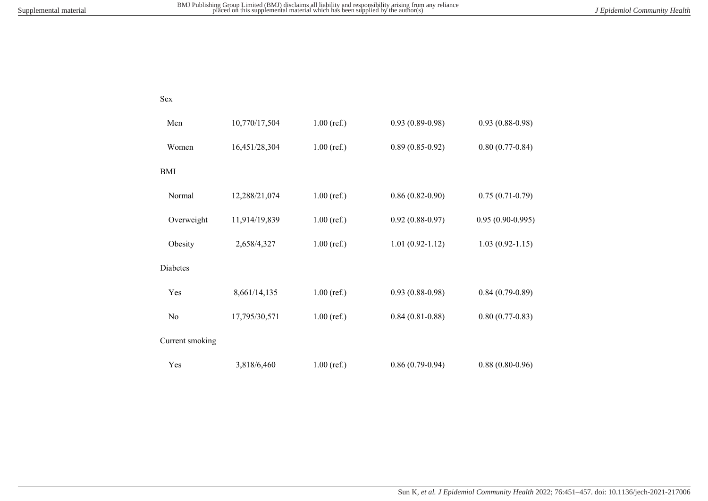Sex

| Men             | 10,770/17,504 | $1.00$ (ref.) | $0.93(0.89 - 0.98)$ | $0.93(0.88-0.98)$   |
|-----------------|---------------|---------------|---------------------|---------------------|
| Women           | 16,451/28,304 | $1.00$ (ref.) | $0.89(0.85-0.92)$   | $0.80(0.77-0.84)$   |
| <b>BMI</b>      |               |               |                     |                     |
| Normal          | 12,288/21,074 | $1.00$ (ref.) | $0.86(0.82-0.90)$   | $0.75(0.71-0.79)$   |
| Overweight      | 11,914/19,839 | $1.00$ (ref.) | $0.92(0.88-0.97)$   | $0.95(0.90-0.995)$  |
| Obesity         | 2,658/4,327   | $1.00$ (ref.) | $1.01(0.92-1.12)$   | $1.03(0.92 - 1.15)$ |
| <b>Diabetes</b> |               |               |                     |                     |
| Yes             | 8,661/14,135  | $1.00$ (ref.) | $0.93(0.88-0.98)$   | $0.84(0.79-0.89)$   |
| N <sub>0</sub>  | 17,795/30,571 | $1.00$ (ref.) | $0.84(0.81 - 0.88)$ | $0.80(0.77-0.83)$   |
| Current smoking |               |               |                     |                     |
| Yes             | 3,818/6,460   | $1.00$ (ref.) | $0.86(0.79-0.94)$   | $0.88(0.80-0.96)$   |